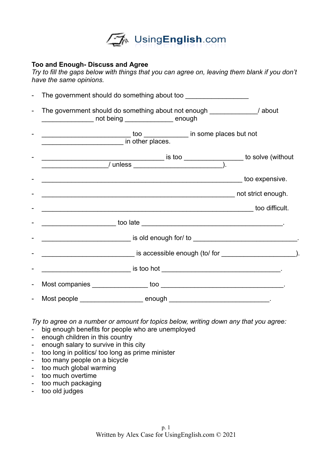

## **Too and Enough- Discuss and Agree**

*Try to fill the gaps below with things that you can agree on, leaving them blank if you don't have the same opinions.* 

| $\overline{a}$           |                                                                                                                                                                                                                               |  |
|--------------------------|-------------------------------------------------------------------------------------------------------------------------------------------------------------------------------------------------------------------------------|--|
| $\overline{\phantom{0}}$ | The government should do something about not enough _____________/ about<br>___________________ not being ________________ enough                                                                                             |  |
|                          |                                                                                                                                                                                                                               |  |
|                          |                                                                                                                                                                                                                               |  |
|                          |                                                                                                                                                                                                                               |  |
|                          |                                                                                                                                                                                                                               |  |
|                          |                                                                                                                                                                                                                               |  |
|                          |                                                                                                                                                                                                                               |  |
|                          |                                                                                                                                                                                                                               |  |
|                          | is accessible enough (to/ for service and the service of the service of the service of the service of the service of the service of the service of the service of the service of the service of the service of the service of |  |
|                          |                                                                                                                                                                                                                               |  |
| $\blacksquare$           |                                                                                                                                                                                                                               |  |
|                          |                                                                                                                                                                                                                               |  |

*Try to agree on a number or amount for topics below, writing down any that you agree:* 

- big enough benefits for people who are unemployed
- enough children in this country
- enough salary to survive in this city
- too long in politics/ too long as prime minister
- too many people on a bicycle
- too much global warming
- too much overtime
- too much packaging
- too old judges